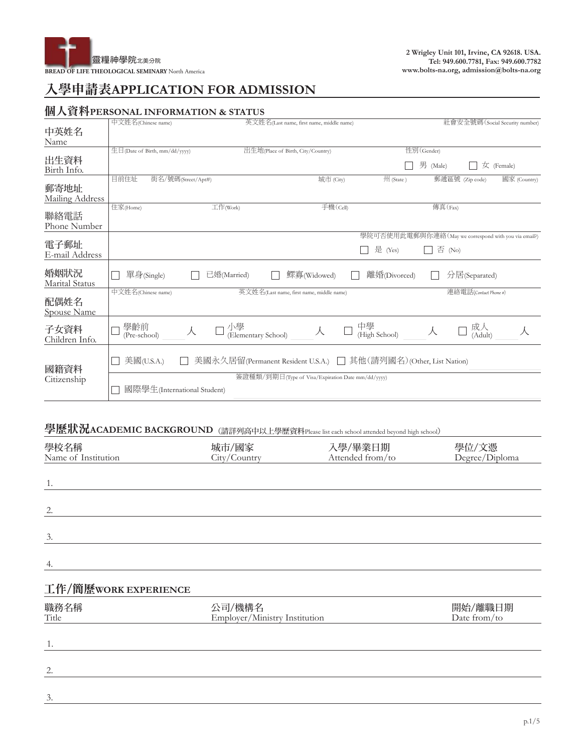

# 入學申請表**APPLICATION FOR ADMISSION**

## 個人資料**PERSONAL INFORMATION & STATUS**

|                             | 中文姓名(Chinese name)            |                           | 英文姓名(Last name, first name, middle name)                         |                                                      |            |                         | 社會安全號碼 (Social Security number)   |
|-----------------------------|-------------------------------|---------------------------|------------------------------------------------------------------|------------------------------------------------------|------------|-------------------------|-----------------------------------|
| 中英姓名                        |                               |                           |                                                                  |                                                      |            |                         |                                   |
| Name                        | 生日(Date of Birth, mm/dd/yyyy) |                           | 出生地(Place of Birth, City/Country)                                |                                                      | 性別(Gender) |                         |                                   |
| 出生資料<br>Birth Info.         |                               |                           |                                                                  |                                                      | 男 (Male)   |                         | $\overline{\mathcal{K}}$ (Female) |
| 郵寄地址<br>Mailing Address     | 目前住址<br>街名/號碼(Street/Apt#)    |                           | 城市 (City)                                                        | 州 (State)                                            |            | 郵遞區號 (Zip code)         | 國家 (Country)                      |
| 聯絡電話<br>Phone Number        | 住家(Home)                      | 工作(Work)                  | 手機(Cell)                                                         |                                                      | 傳真(Fax)    |                         |                                   |
|                             |                               |                           |                                                                  | 學院可否使用此電郵與你連絡(May we correspond with you via email?) |            |                         |                                   |
| 電子郵址<br>E-mail Address      |                               |                           |                                                                  | 是 (Yes)                                              | 否 (No)     |                         |                                   |
| 婚姻狀況<br>Marital Status      | 單身(Single)                    | 已婚(Married)               | 鰥寡(Widowed)                                                      | 離婚(Divorced)                                         |            | 分居(Separated)           |                                   |
| 配偶姓名<br><b>Spouse Name</b>  | 中文姓名(Chinese name)            |                           | 英文姓名(Last name, first name, middle name)                         |                                                      |            | 連絡電話(Contact Phone #)   |                                   |
| 子女資料<br>Children Info.      | 學齡前<br>(Pre-school)           | 小學<br>(Elementary School) | 人                                                                | 中學<br>(High School)                                  | 人          | 成人<br>(Adult)           |                                   |
| 國籍資料                        | 美國(U.S.A.)                    |                           | 美國永久居留(Permanent Resident U.S.A.) □ 其他(請列國名)(Other, List Nation) |                                                      |            |                         |                                   |
| Citizenship                 | 國際學生(International Student)   |                           | 簽證種類/到期日(Type of Visa/Expiration Date mm/dd/yyyy)                |                                                      |            |                         |                                   |
|                             | 學歷狀況ACADEMIC BACKGROUND       |                           | (請詳列高中以上學歷資料Please list each school attended beyond high school) |                                                      |            |                         |                                   |
| 學校名稱<br>Name of Institution |                               | 城市/國家<br>City/Country     | 入學/畢業日期                                                          | Attended from/to                                     |            | 學位/文憑<br>Degree/Diploma |                                   |

| 1.                   |                                         |                         |
|----------------------|-----------------------------------------|-------------------------|
| 2.                   |                                         |                         |
| 3.                   |                                         |                         |
| 4.                   |                                         |                         |
| 工作/簡歷WORK EXPERIENCE |                                         |                         |
| 職務名稱<br>Title        | 公司/機構名<br>Employer/Ministry Institution | 開始/離職日期<br>Date from/to |
| 1.                   |                                         |                         |

| $\overline{\phantom{a}}$ |  |  |  |
|--------------------------|--|--|--|
|                          |  |  |  |
|                          |  |  |  |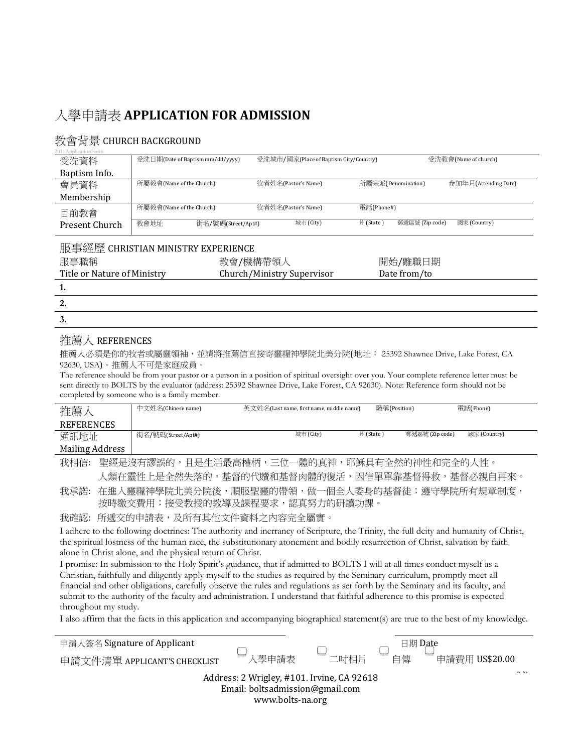# 入學申請表 **APPLICATION FOR ADMISSION**

### 教會背景 CHURCH BACKGROUND

| 2011ApplicationForm         |                                    |                            |                                        |                    |                 |                      |
|-----------------------------|------------------------------------|----------------------------|----------------------------------------|--------------------|-----------------|----------------------|
| 受洗資料                        | 受洗日期(Date of Baptism mm/dd/yyyy)   |                            | 受洗城市/國家(Place of Baptism City/Country) |                    |                 | 受洗教會(Name of church) |
| Baptism Info.               |                                    |                            |                                        |                    |                 |                      |
| 會員資料                        | 所屬教會(Name of the Church)           |                            | 牧者姓名(Pastor's Name)                    | 所屬宗派(Denomination) |                 | 参加年月(Attending Date) |
| Membership                  |                                    |                            |                                        |                    |                 |                      |
| 目前教會                        | 所屬教會(Name of the Church)           |                            | 牧者姓名(Pastor's Name)                    | 電話(Phone#)         |                 |                      |
| Present Church              | 教會地址                               | 街名/號碼(Street/Apt#)         | 城市 (City)                              | 州(State)           | 郵遞區號 (Zip code) | 國家 (Country)         |
|                             | 服事經歷 CHRISTIAN MINISTRY EXPERIENCE |                            |                                        |                    |                 |                      |
| 服事職稱                        |                                    | 教會/機構帶領人                   |                                        |                    | 開始/離職日期         |                      |
| Title or Nature of Ministry |                                    | Church/Ministry Supervisor |                                        |                    | Date from/to    |                      |
| 1.                          |                                    |                            |                                        |                    |                 |                      |
| 2.                          |                                    |                            |                                        |                    |                 |                      |
| 3.                          |                                    |                            |                                        |                    |                 |                      |

#### 推薦人 REFERENCES

推薦人必須是你的牧者或屬靈領袖,並請將推薦信直接寄靈糧神學院北美分院(地址: 25392 Shawnee Drive, Lake Forest, CA 92630, USA)。推薦人不可是家庭成員。

The reference should be from your pastor or a person in a position of spiritual oversight over you. Your complete reference letter must be sent directly to BOLTS by the evaluator (address: 25392 Shawnee Drive, Lake Forest, CA 92630). Note: Reference form should not be completed by someone who is a family member.

| 推薦              | 中文姓名(Chinese name) | 英文姓名(Last name, first name, middle name) | 職稱(Position) |                 | 電話(Phone)    |
|-----------------|--------------------|------------------------------------------|--------------|-----------------|--------------|
| REFERENCES      |                    |                                          |              |                 |              |
| 通訊地址            | 街名/號碼(Street/Apt#) | 城市 (City)                                | 州 (State )   | 郵遞區號 (Zip code) | 國家 (Country) |
| Mailing Address |                    |                                          |              |                 |              |

我相信: 聖經是沒有謬誤的,且是生活最高權柄,三位一體的真神,耶穌具有全然的神性和完全的人性。 人類在靈性上是全然失落的,基督的代贖和基督肉體的復活,因信單單靠基督得救,基督必親自再來。

我承諾: 在進入靈糧神學院北美分院後,順服聖靈的帶領,做一個全人委身的基督徒;遵守學院所有規章制度, 按時繳交費用;接受教授的教導及課程要求,認真努力的研讀功課。

我確認: 所遞交的申請表,及所有其他文件資料之內容完全屬實。

I adhere to the following doctrines: The authority and inerrancy of Scripture, the Trinity, the full deity and humanity of Christ, the spiritual lostness of the human race, the substitutionary atonement and bodily resurrection of Christ, salvation by faith alone in Christ alone, and the physical return of Christ.

I promise: In submission to the Holy Spirit's guidance, that if admitted to BOLTS I will at all times conduct myself as a Christian, faithfully and diligently apply myself to the studies as required by the Seminary curriculum, promptly meet all financial and other obligations, carefully observe the rules and regulations as set forth by the Seminary and its faculty, and submit to the authority of the faculty and administration. I understand that faithful adherence to this promise is expected throughout my study.

I also affirm that the facts in this application and accompanying biographical statement(s) are true to the best of my knowledge.

| 申請人簽名 Signature of Applicant                                                                      |       |      |    | 日期 D <u>at</u> e |  |
|---------------------------------------------------------------------------------------------------|-------|------|----|------------------|--|
| 申請文件清單 APPLICANT'S CHECKLIST                                                                      | 入學申請表 | 二吋相片 | 白傳 | 申請費用 US\$20.00   |  |
| Address: 2 Wrigley, #101. Irvine, CA 92618<br>Email: boltsadmission@gmail.com<br>www.bolts-na.org |       |      |    |                  |  |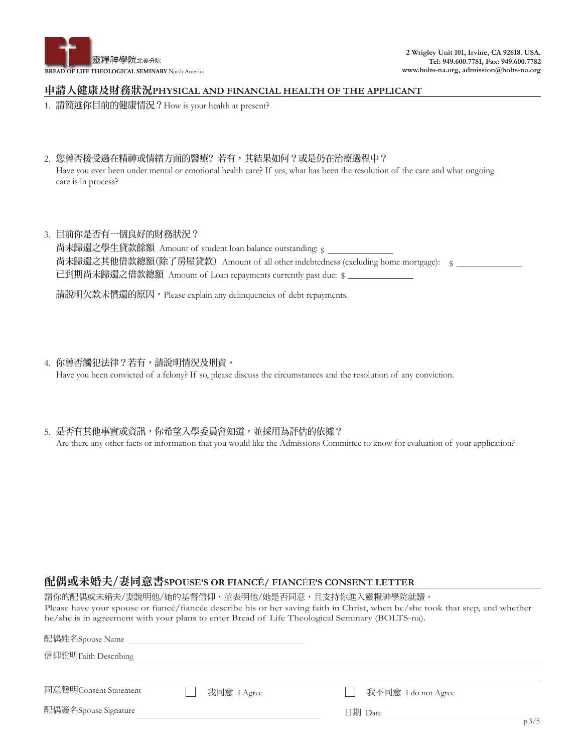

#### 申請人健康及財務狀況**PHYSICAL AND FINANCIAL HEALTH OF THE APPLICANT**

- 1. 請簡述你目前的健康情況?How is your health at present?
- 2. 您曾否接受過在精神或情緒方面的醫療? 若有,其結果如何?或是仍在治療過程中? Have you ever been under mental or emotional health care? If yes, what has been the resolution of the care and what ongoing care is in process?
- 3. 目前你是否有一個良好的財務狀況? 尚未歸還之學生貸款餘額 Amount of student loan balance outstanding:  $\varsigma$ 尚未歸還之其他借款總額(除了房屋貸款)Amount of all other indebtedness (excluding home mortgage): <sub>\$</sub> 已到期尚未歸還之借款總額 Amount of Loan repayments currently past due: \$

請說明欠款未償還的原因。Please explain any delinquencies of debt repayments.

- 4. 你曾否觸犯法律?若有,請說明情況及刑責。 Have you been convicted of a felony? If so, please discuss the circumstances and the resolution of any conviction.
- 5. 是否有其他事實或資訊,你希望入學委員會知道,並採用為評估的依據? Are there any other facts or information that you would like the Admissions Committee to know for evaluation of your application?

#### 配偶或未婚夫/妻同意書**SPOUSE'S OR FIANCÉ/ FIANC**É**E'S CONSENT LETTER**

請你的配偶或未婚夫/妻說明他/她的基督信仰,並表明他/她是否同意,且支持你進入靈糧神學院就讀。 Please have your spouse or fiancé/fiancée describe his or her saving faith in Christ, when he/she took that step, and whether he/she is in agreement with your plans to enter Bread of Life Theological Seminary (BOLTS-na).

| 信仰說明Faith Describing  |             |                     |       |
|-----------------------|-------------|---------------------|-------|
|                       |             |                     |       |
| 同意聲明Consent Statement | 我同意 I Agree | 我不同意 I do not Agree |       |
| 配偶簽名Spouse Signature  |             | 日期 Date             |       |
|                       |             |                     | p.3/5 |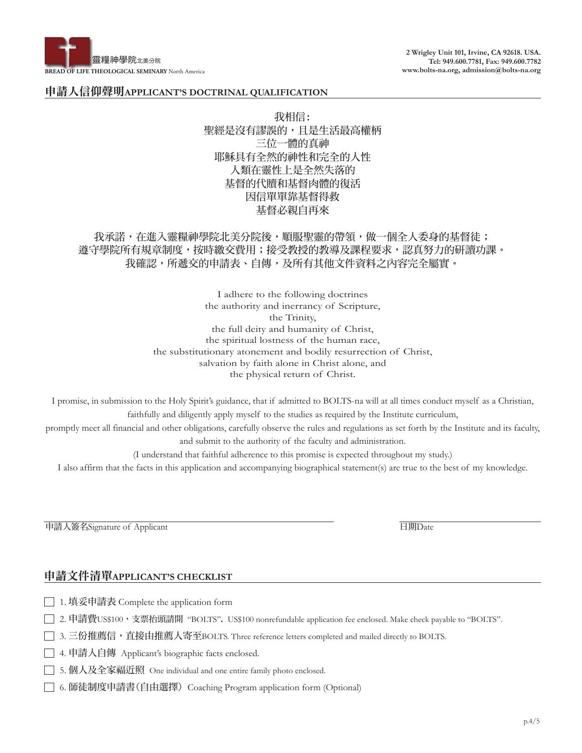

**2 Wrigley Unit 101, Irvine, CA 92618. USA. Tel: 949.600.7781, Fax: 949.600.7782 www.bolts-na.org, admission@bolts-na.org**

#### 申請人信仰聲明**APPLICANT'S DOCTRINAL QUALIFICATION**

我相信: 聖經是沒有謬誤的,且是生活最高權柄 三位一體的真神 耶穌具有全然的神性和完全的人性 人類在靈性上是全然失落的 基督的代贖和基督肉體的復活 因信單單靠基督得救 基督必親自再來

## 我承諾,在進入靈糧神學院北美分院後,順服聖靈的帶領,做一個全人委身的基督徒; 遵守學院所有規章制度,按時繳交費用;接受教授的教導及課程要求,認真努力的研讀功課。 我確認,所遞交的申請表、自傳,及所有其他文件資料之內容完全屬實。

I adhere to the following doctrines the authority and inerrancy of Scripture, the Trinity, the full deity and humanity of Christ, the spiritual lostness of the human race, the substitutionary atonement and bodily resurrection of Christ, salvation by faith alone in Christ alone, and the physical return of Christ.

I promise, in submission to the Holy Spirit's guidance, that if admitted to BOLTS-na will at all times conduct myself as a Christian, faithfully and diligently apply myself to the studies as required by the Institute curriculum,

promptly meet all financial and other obligations, carefully observe the rules and regulations as set forth by the Institute and its faculty, and submit to the authority of the faculty and administration.

(I understand that faithful adherence to this promise is expected throughout my study.)

I also affirm that the facts in this application and accompanying biographical statement(s) are true to the best of my knowledge.

申請人簽名Signature of Applicant 日期Date

#### 申請文件清單**APPLICANT'S CHECKLIST**

- □ 1. 填妥申請表 Complete the application form
- □ 2. 申請費US\$100, 支票抬頭請開 "BOLTS". US\$100 nonrefundable application fee enclosed. Make check payable to "BOLTS".
- □ 3. 三份推薦信,直接由推薦人寄至BOLTS. Three reference letters completed and mailed directly to BOLTS.
- □ 4. 申請人自傳 Applicant's biographic facts enclosed.
- 5. 個人及全家福近照 One individual and one entire family photo enclosed.
- 6. 師徒制度申請書(自由選擇) Coaching Program application form (Optional)